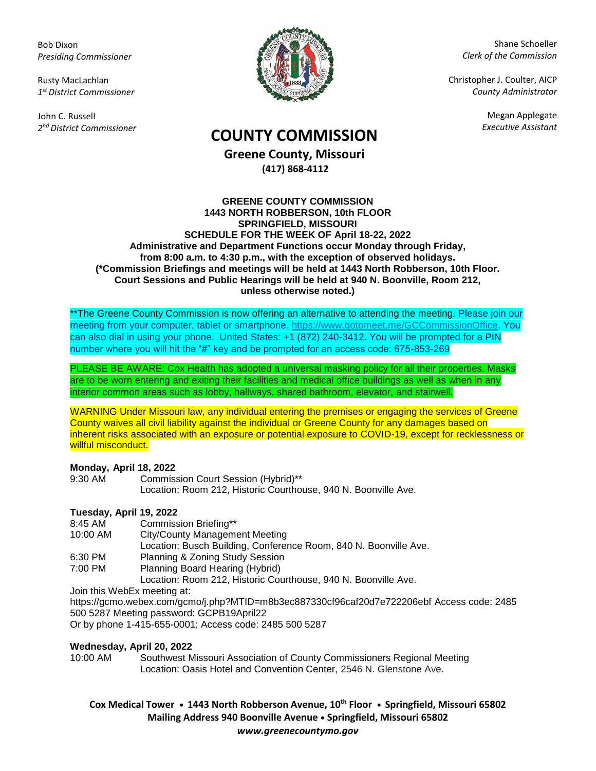Bob Dixon *Presiding Commissioner*

Rusty MacLachlan *1 st District Commissioner*

John C. Russell *2 nd District Commissioner*



Shane Schoeller *Clerk of the Commission*

Christopher J. Coulter, AICP *County Administrator*

Megan Applegate

# *Executive Assistant* **COUNTY COMMISSION**

**Greene County, Missouri (417) 868-4112**

#### **GREENE COUNTY COMMISSION 1443 NORTH ROBBERSON, 10th FLOOR SPRINGFIELD, MISSOURI SCHEDULE FOR THE WEEK OF April 18-22, 2022 Administrative and Department Functions occur Monday through Friday, from 8:00 a.m. to 4:30 p.m., with the exception of observed holidays. (\*Commission Briefings and meetings will be held at 1443 North Robberson, 10th Floor. Court Sessions and Public Hearings will be held at 940 N. Boonville, Room 212, unless otherwise noted.)**

\*\*The Greene County Commission is now offering an alternative to attending the meeting. Please join our meeting from your computer, tablet or smartphone. [https://www.gotomeet.me/GCCommissionOffice.](https://www.gotomeet.me/GCCommissionOffice) You can also dial in using your phone. United States: +1 (872) 240-3412. You will be prompted for a PIN number where you will hit the "#" key and be prompted for an access code: 675-853-269

PLEASE BE AWARE: Cox Health has adopted a universal masking policy for all their properties. Masks are to be worn entering and exiting their facilities and medical office buildings as well as when in any interior common areas such as lobby, hallways, shared bathroom, elevator, and stairwell.

WARNING Under Missouri law, any individual entering the premises or engaging the services of Greene County waives all civil liability against the individual or Greene County for any damages based on inherent risks associated with an exposure or potential exposure to COVID-19, except for recklessness or willful misconduct.

### **Monday, April 18, 2022**

9:30 AM Commission Court Session (Hybrid)\*\* Location: Room 212, Historic Courthouse, 940 N. Boonville Ave.

# **Tuesday, April 19, 2022**

- 8:45 AM Commission Briefing\*\*
- 10:00 AM City/County Management Meeting
- Location: Busch Building, Conference Room, 840 N. Boonville Ave.
- 6:30 PM Planning & Zoning Study Session
- 7:00 PM Planning Board Hearing (Hybrid)

Location: Room 212, Historic Courthouse, 940 N. Boonville Ave.

Join this WebEx meeting at:

https://gcmo.webex.com/gcmo/j.php?MTID=m8b3ec887330cf96caf20d7e722206ebf Access code: 2485 500 5287 Meeting password: GCPB19April22

Or by phone 1-415-655-0001; Access code: 2485 500 5287

### **Wednesday, April 20, 2022**

10:00 AM Southwest Missouri Association of County Commissioners Regional Meeting Location: Oasis Hotel and Convention Center, 2546 N. Glenstone Ave.

# **Cox Medical Tower • 1443 North Robberson Avenue, 10th Floor • Springfield, Missouri 65802 Mailing Address 940 Boonville Avenue • Springfield, Missouri 65802** *www.greenecountymo.gov*